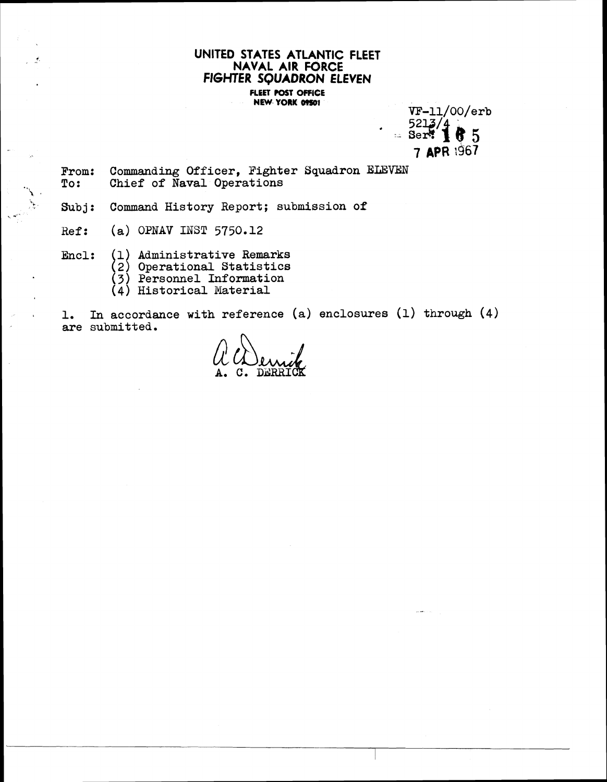## **UNITED STATES ATLANTIC FLEET NAVAL AIR FORCE FIGHTER SQUADRON ELEVEN FLEET POST OFFICE NEW YORK 09501**

 $VF-11/00/erb$  $5213/4$  $=$  Serve 1 6 5 7 APR 1967

From: Commanding Officer, Fighter Squadron ELEVEN<br>To: Chief of Naval Operations **To:** Chief of Naval Operations<br> **Subj:** Command History Report; Sub

Command History Report; submission of

**Hef: (a)** OPNAV **INST 5750.12** 

J.

**Encl: 1) Administrative Remarks** 

1 **2) Operational Statistics 3) Personnel Information** 

**(4) Historical Material** 

**1. In accordance with reference (a) enclosures (1) through (4) are submitted.**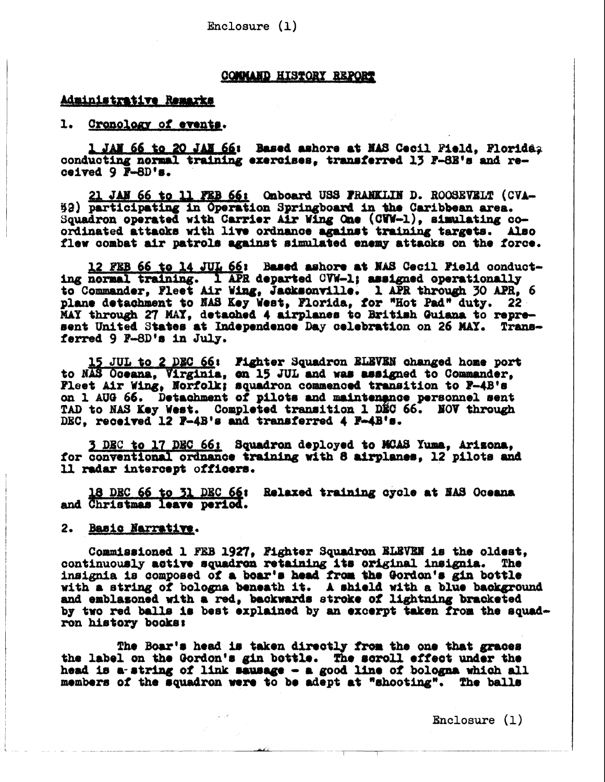Enclosure  $(1)$ 

#### **COMMAND HISTORY REPORT**

### Administrative Remarks

 $1.$ Cronology of events.

1 JAN 66 to 20 JAN 66: Based ashore at NAS Cecil Pield. Plorida. conducting normal training exercises, transferred 13 F-8E's and received  $9 \overline{F}-8D$ 's.

21 JAN 66 to 11 FEB 66: Onboard USS FRANKLIN D. ROOSEVELT (CVA-52) participating in Operation Springboard in the Caribbean area. Squadron operated with Carrier Air Wing One (CWW-1), simulating coordinated attacks with live ordnance against training targets. Also flew combat air patrols against simulated enemy attacks on the force.

12 FEB 66 to 14 JUL 66: Based ashore at NAS Cecil Field conduct-ing normal training. 1 APR departed CVW-1; assigned operationally to Commander, Fleet Air Wing, Jacksonville. 1 APR through 30 APR, 6 plane detachment to NAS Key West, Florida, for "Hot Pad" duty. 22 MAY through 27 MAY, detached 4 airplanes to British Guiana to represent United States at Independence Day celebration on 26 MAY. Transferred 9 F-8D's in July.

15 JUL to 2 DEC 66: Fighter Squadron ELEVEN changed home port to NAS Oceana, Virginia, on 15 JUL and was assigned to Commander. Fleet Air Wing, Norfolk; squadron commenced transition to P-4B's on 1 AUG 66. Detachment of pilots and maintenance personnel sent TAD to NAS Key West. Completed transition 1 DEC 66. NOV through DEC. received 12 P-4B's and transferred 4 P-4B's.

3 DEC to 17 DEC 66: Squadron deployed to MCAS Yuma, Arizona. for conventional ordnance training with 8 airplanes, 12 pilots and 11 radar intercept officers.

18 DEC 66 to 31 DEC 66: Relaxed training cycle at NAS Oceana and Christmas leave period.

2. Basic Narrative.

Commissioned 1 FEB 1927, Fighter Squadron ELEVEN is the oldest, continuously active squadron retaining its original insignia. The insignia is composed of a boar's head from the Gordon's gin bottle with a string of bologna beneath it. A shield with a blue background and emblasoned with a red, backwards stroke of lightning bracketed by two red balls is best explained by an excerpt taken from the squadron history books:

The Boar's head is taken directly from the one that graces the label on the Gordon's gin bottle. The scroll effect under the head is a string of link sausage - a good line of bologna which all members of the squadron were to be adept at "shooting". The balls

 $\text{Enclosure}(\mathbf{1})$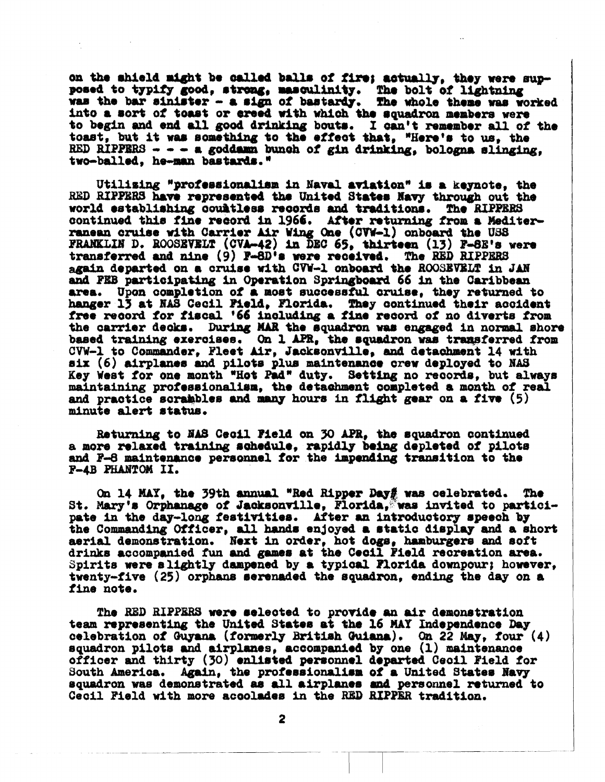on the shield might be called balls of fire; actually, they were supposed to typify good, strong, masculinity. The bolt of lightning was the bar sinister - a sign of bastardy. The whole theme was worked into a sort of toast or creed with which the squadron members were to begin and end all good drinking bouts. I can't remember all of the toast, but it was something to the effect that. "Here's to us, the RED RIPPERS  $- -$  a goddamn bunch of gin drinking, bologna slinging. two-balled, he-man bastards."

Utilizing "professionalism in Naval aviation" is a keynote, the RED RIPPERS have represented the United States Navy through out the world establishing countless records and traditions. The RIPPERS continued this fine record in 1966. After returning from a Mediterranean cruise with Carrier Air Wing One (CVW-1) onboard the USS FRANKLIN D. ROOSEVELT (CVA-42) in DEC 65, thirteen (13) F-8E's were transferred and nine (9) F-8D's were received. The RED RIPPERS again departed on a cruise with CVW-1 onboard the ROOSEVELT in JAN and PEB participating in Operation Springboard 66 in the Caribbean area. Upon completion of a most successful cruise, they returned to hanger 13 at NAS Cecil Pield, Florida. They continued their accident free record for fiscal '66 including a fine record of no diverts from the carrier decks. During MAR the squadron was engaged in normal shore based training exercises. On 1 APR, the squadron was transferred from CVW-1 to Commander, Fleet Air, Jacksonville, and detachment 14 with six (6) airplanes and pilots plus maintenance crew deployed to NAS Key West for one month "Hot Pad" duty. Setting no records, but always maintaining professionalism, the detachment completed a month of real and practice scrabbles and many hours in flight gear on a five (5) minute alert status.

Returning to NAS Cecil Field on 30 APR, the squadron continued a more relaxed training schedule. rapidly being depleted of pilots and F-8 maintenance personnel for the impending transition to the P-4B PHANTOM II.

On 14 MAY, the 39th annual "Red Ripper Day# was celebrated. The St. Mary's Orphanage of Jacksonville, Florida, was invited to partici-<br>pate in the day-long festivities. After an introductory speech by the Commanding Officer, all hands enjoyed a static display and a short aerial demonstration. Next in order, hot dogs, hamburgers and soft drinks accompanied fun and games at the Cecil Pield recreation area. Spirits were slightly dampened by a typical Florida downpour; however, twenty-five (25) orphans serenaded the squadron, ending the day on a fine note.

The RED RIPPERS were selected to provide an air demonstration team representing the United States at the 16 MAY Independence Day celebration of Guyana (formerly British Guiana). On 22 May, four (4) squadron pilots and airplanes, accompanied by one (1) maintenance officer and thirty (30) enlisted personnel departed Ceoil Field for South America. Again, the professionalism of a United States Navy squadron was demonstrated as all airplanes and personnel returned to Cecil Field with more accolades in the RED RIPPER tradition.

 $\mathbf{2}$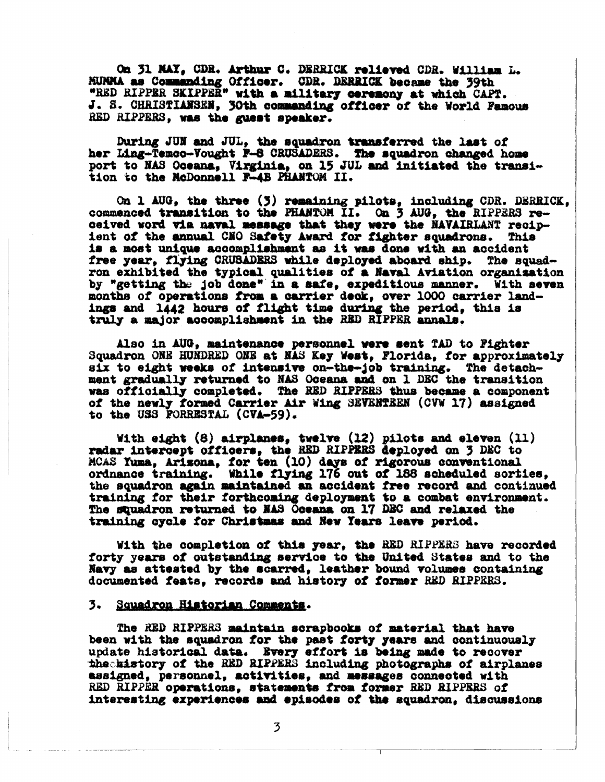On 31 MAY, CDR. Arthur C. DERRICK relieved CDR. William L. MUMMA as Commanding Officer. CDR. DERRICK became the 39th "RED RIPPER SKIPPER" with a military ceremony at which CAPT. J. S. CHRISTIANSEN, 30th commanding officer of the World Famous RED RIPPERS, was the guest speaker.

During JUN and JUL, the squadron transferred the last of her Ling-Temco-Vought P-8 CRUSADERS. The squadron changed home port to NAS Oceana, Virginia, on 15 JUL and initiated the transition to the McDonnell F-4B PHANTOM II.

On 1 AUG, the three (3) remaining pilots, including CDR. DERRICK, commenced transition to the PHANTOM II. On 3 AUG, the RIPPERS re-ceived word via naval message that they were the NAVAIRLANT recipient of the annual CNO Safety Award for fighter squadrons. This is a most unique accomplishment as it was done with an accident free year, flying CRUSADERS while deployed aboard ship. The squadron exhibited the typical qualities of a Naval Aviation organization by "getting the job done" in a safe, expeditious manner. With seven months of operations from a carrier deck, over 1000 carrier landings and 1442 hours of flight time during the period, this is truly a major accomplishment in the RED RIPPER annals.

Also in AUG, maintenance personnel were sent TAD to Fighter Squadron ONE HUNDRED ONE at NAS Key West, Florida, for approximately six to eight weeks of intensive on-the-job training. The detachment gradually returned to NAS Oceana and on 1 DEC the transition was officially completed. The RED RIPPERS thus became a component of the newly formed Carrier Air Wing SEVENTEEN (CVW 17) assigned to the USS FORRESTAL (CVA-59).

With eight (8) airplanes, twelve (12) pilots and eleven (11) radar intercept officers. the RED RIPPERS deployed on 3 DEC to MCAS Yuma, Arizona, for ten (10) days of rigorous conventional ordnance training. While flying 176 out of 188 scheduled sorties, the squadron again maintained an accident free record and continued training for their forthcoming deployment to a combat environment. The squadron returned to MAS Oceana on 17 DEC and relaxed the training cycle for Christmas and New Years leave period.

With the completion of this year, the RED RIPPERS have recorded forty years of outstanding service to the United States and to the Navy as attested by the scarred, leather bound volumes containing documented feats, records and history of former RED RIPPERS.

#### 3. Squadron Historian Comments.

The RED RIPPERS maintain scrapbooks of material that have been with the squadron for the past forty years and continuously update historical data. Every effort is being made to recover the history of the RED RIPPERS including photographs of airplanes assigned, personnel, activities, and messages connected with RED RIPPER operations, statements from former RED RIPPERS of interesting experiences and episodes of the squadron, discussions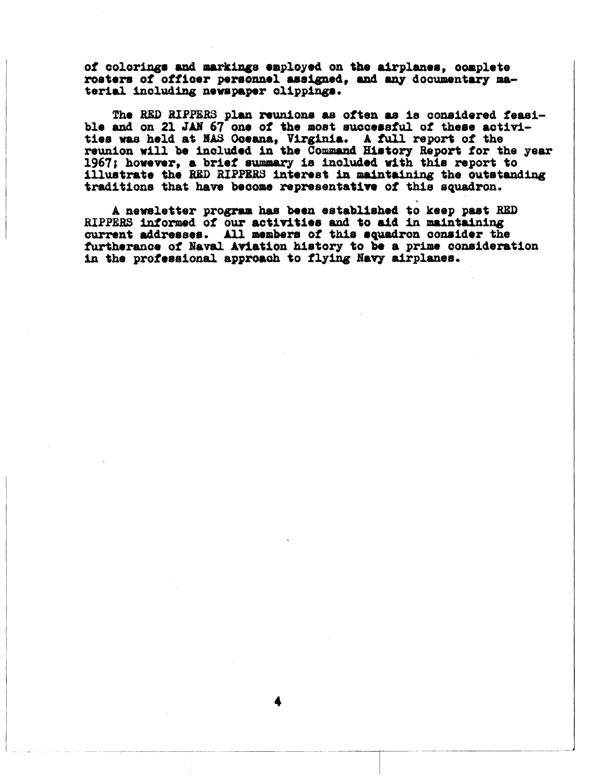of colorings and markings employed on the airplanes. complete rosters of officer personnel assigned, and any documentary material including newspaper clippings.

The RED RIPPERS plan reunions as often as is considered feasible and on 21 JAN 67 one of the most successful of these activities was held at MAS Oceana, Virginia. A full report of the reunion will be included in the Command History Report for the year 1967; however, a brief summary is included with this report to illustrate the RED RIPPERS interest in maintaining the outstanding traditions that have become representative of this squadron.

A newsletter program has been established to keep past RED RIPPERS informed of our activities and to aid in maintaining current addresses. All members of this squadron consider the furtherance of Naval Aviation history to be a prime consideration in the professional approach to flying Navy airplanes.